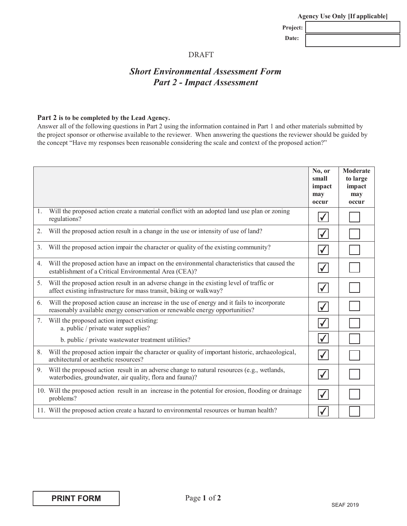|  |  | <b>Agency Use Only [If applicable]</b> |  |
|--|--|----------------------------------------|--|
|  |  |                                        |  |

Project: Date:

### DRAFT

# *Short Environmental Assessment Form* **Part 2 - Impact Assessment**

#### Part 2 is to be completed by the Lead Agency.

Answer all of the following questions in Part 2 using the information contained in Part 1 and other materials submitted by the project sponsor or otherwise available to the reviewer. When answering the questions the reviewer should be guided by the concept "Have my responses been reasonable considering the scale and context of the proposed action?"

|    |                                                                                                                                                                            | No, or<br>small<br>impact<br>may<br>occur | <b>Moderate</b><br>to large<br>impact<br>may<br>occur |
|----|----------------------------------------------------------------------------------------------------------------------------------------------------------------------------|-------------------------------------------|-------------------------------------------------------|
| 1. | Will the proposed action create a material conflict with an adopted land use plan or zoning<br>regulations?                                                                | $\blacktriangledown$                      |                                                       |
| 2. | Will the proposed action result in a change in the use or intensity of use of land?                                                                                        | $\checkmark$                              |                                                       |
| 3. | Will the proposed action impair the character or quality of the existing community?                                                                                        | $\blacktriangledown$                      |                                                       |
| 4. | Will the proposed action have an impact on the environmental characteristics that caused the<br>establishment of a Critical Environmental Area (CEA)?                      | $\checkmark$                              |                                                       |
| 5. | Will the proposed action result in an adverse change in the existing level of traffic or<br>affect existing infrastructure for mass transit, biking or walkway?            | $\checkmark$                              |                                                       |
| 6. | Will the proposed action cause an increase in the use of energy and it fails to incorporate<br>reasonably available energy conservation or renewable energy opportunities? | $\checkmark$                              |                                                       |
|    | 7. Will the proposed action impact existing:<br>a. public / private water supplies?                                                                                        | $\checkmark$                              |                                                       |
|    | b. public / private wastewater treatment utilities?                                                                                                                        | $\blacktriangledown$                      |                                                       |
| 8. | Will the proposed action impair the character or quality of important historic, archaeological,<br>architectural or aesthetic resources?                                   | $\blacktriangledown$                      |                                                       |
| 9. | Will the proposed action result in an adverse change to natural resources (e.g., wetlands,<br>waterbodies, groundwater, air quality, flora and fauna)?                     | $\blacktriangledown$                      |                                                       |
|    | 10. Will the proposed action result in an increase in the potential for erosion, flooding or drainage<br>problems?                                                         | $\blacktriangledown$                      |                                                       |
|    | 11. Will the proposed action create a hazard to environmental resources or human health?                                                                                   | $\checkmark$                              |                                                       |